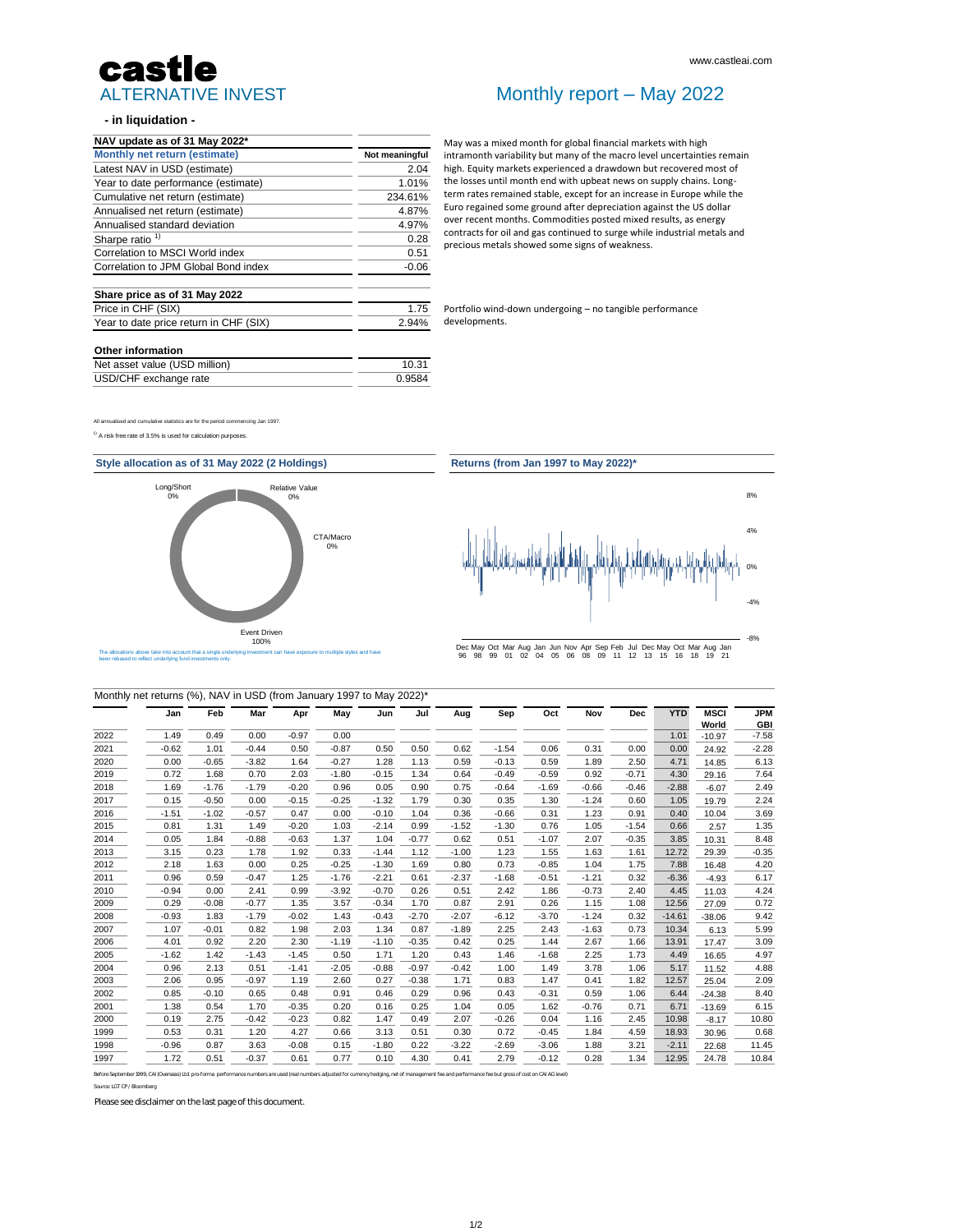#### **- in liquidation -**

All annualised and cumulative statistics are for the period commencing Jan 1997.

 $1)$  A risk free rate of 3.5% is used for calculation purposes.

**JPM GBI**

2019 0.72 1.68 0.70 2.03 -1.80 -0.15 1.34 0.64 -0.49 -0.59 0.92 -0.71 4.30 29.16 7.64

| 2018 | l.69    | $-1.76$ | $-1.79$ | $-0.20$ | 0.96    | 0.05    | 0.90    | 0.75    | $-0.64$ | $-1.69$ | $-0.66$ | $-0.46$ | $-2.88$  | $-6.07$  | 2.49    |
|------|---------|---------|---------|---------|---------|---------|---------|---------|---------|---------|---------|---------|----------|----------|---------|
| 2017 | 0.15    | $-0.50$ | 0.00    | $-0.15$ | $-0.25$ | $-1.32$ | 1.79    | 0.30    | 0.35    | 1.30    | $-1.24$ | 0.60    | 1.05     | 19.79    | 2.24    |
| 2016 | $-1.51$ | $-1.02$ | $-0.57$ | 0.47    | 0.00    | $-0.10$ | 1.04    | 0.36    | $-0.66$ | 0.31    | 1.23    | 0.91    | 0.40     | 10.04    | 3.69    |
| 2015 | 0.81    | 1.31    | 1.49    | $-0.20$ | 1.03    | $-2.14$ | 0.99    | $-1.52$ | $-1.30$ | 0.76    | 1.05    | $-1.54$ | 0.66     | 2.57     | 1.35    |
| 2014 | 0.05    | 1.84    | $-0.88$ | $-0.63$ | 1.37    | 1.04    | $-0.77$ | 0.62    | 0.51    | $-1.07$ | 2.07    | $-0.35$ | 3.85     | 10.31    | 8.48    |
| 2013 | 3.15    | 0.23    | 1.78    | 1.92    | 0.33    | $-1.44$ | 1.12    | $-1.00$ | 1.23    | 1.55    | 1.63    | 1.61    | 12.72    | 29.39    | $-0.35$ |
| 2012 | 2.18    | 1.63    | 0.00    | 0.25    | $-0.25$ | $-1.30$ | 1.69    | 0.80    | 0.73    | $-0.85$ | 1.04    | 1.75    | 7.88     | 16.48    | 4.20    |
| 2011 | 0.96    | 0.59    | $-0.47$ | 1.25    | $-1.76$ | $-2.21$ | 0.61    | $-2.37$ | $-1.68$ | $-0.51$ | $-1.21$ | 0.32    | $-6.36$  | $-4.93$  | 6.17    |
| 2010 | $-0.94$ | 0.00    | 2.41    | 0.99    | $-3.92$ | $-0.70$ | 0.26    | 0.51    | 2.42    | 1.86    | $-0.73$ | 2.40    | 4.45     | 11.03    | 4.24    |
| 2009 | 0.29    | $-0.08$ | $-0.77$ | 1.35    | 3.57    | $-0.34$ | 1.70    | 0.87    | 2.91    | 0.26    | 1.15    | 1.08    | 12.56    | 27.09    | 0.72    |
| 2008 | $-0.93$ | 1.83    | $-1.79$ | $-0.02$ | 1.43    | $-0.43$ | $-2.70$ | $-2.07$ | $-6.12$ | $-3.70$ | $-1.24$ | 0.32    | $-14.61$ | $-38.06$ | 9.42    |
| 2007 | 1.07    | $-0.01$ | 0.82    | 1.98    | 2.03    | 1.34    | 0.87    | $-1.89$ | 2.25    | 2.43    | $-1.63$ | 0.73    | 10.34    | 6.13     | 5.99    |
| 2006 | 4.01    | 0.92    | 2.20    | 2.30    | $-1.19$ | $-1.10$ | $-0.35$ | 0.42    | 0.25    | 1.44    | 2.67    | 1.66    | 13.91    | 17.47    | 3.09    |
| 2005 | $-1.62$ | 1.42    | $-1.43$ | $-1.45$ | 0.50    | 1.71    | 1.20    | 0.43    | 1.46    | $-1.68$ | 2.25    | 1.73    | 4.49     | 16.65    | 4.97    |
| 2004 | 0.96    | 2.13    | 0.51    | $-1.41$ | $-2.05$ | $-0.88$ | $-0.97$ | $-0.42$ | 1.00    | 1.49    | 3.78    | 1.06    | 5.17     | 11.52    | 4.88    |
| 2003 | 2.06    | 0.95    | $-0.97$ | 1.19    | 2.60    | 0.27    | $-0.38$ | 1.71    | 0.83    | 1.47    | 0.41    | 1.82    | 12.57    | 25.04    | 2.09    |
| 2002 | 0.85    | $-0.10$ | 0.65    | 0.48    | 0.91    | 0.46    | 0.29    | 0.96    | 0.43    | $-0.31$ | 0.59    | 1.06    | 6.44     | $-24.38$ | 8.40    |
| 2001 | 1.38    | 0.54    | 1.70    | $-0.35$ | 0.20    | 0.16    | 0.25    | 1.04    | 0.05    | 1.62    | $-0.76$ | 0.71    | 6.71     | $-13.69$ | 6.15    |
| 2000 | 0.19    | 2.75    | $-0.42$ | $-0.23$ | 0.82    | 1.47    | 0.49    | 2.07    | $-0.26$ | 0.04    | 1.16    | 2.45    | 10.98    | $-8.17$  | 10.80   |
| 1999 | 0.53    | 0.31    | 1.20    | 4.27    | 0.66    | 3.13    | 0.51    | 0.30    | 0.72    | $-0.45$ | 1.84    | 4.59    | 18.93    | 30.96    | 0.68    |
| 1998 | $-0.96$ | 0.87    | 3.63    | $-0.08$ | 0.15    | $-1.80$ | 0.22    | $-3.22$ | $-2.69$ | $-3.06$ | 1.88    | 3.21    | $-2.11$  | 22.68    | 11.45   |
| 1997 | 1.72    | 0.51    | $-0.37$ | 0.61    | 0.77    | 0.10    | 4.30    | 0.41    | 2.79    | $-0.12$ | 0.28    | 1.34    | 12.95    | 24.78    | 10.84   |

| Monthly net returns (%), NAV in USD (from January 1997 to May 2022)* |         |       |         |         |         |      |      |      |         |      |            |            |      |             |            |
|----------------------------------------------------------------------|---------|-------|---------|---------|---------|------|------|------|---------|------|------------|------------|------|-------------|------------|
|                                                                      | Jan     | Feb   | Mar     | Apr     | May     | Jun  | Jul  | Aug  | Sep     | Oct  | <b>Nov</b> | <b>Dec</b> | YTD  | <b>MSCI</b> | <b>JPM</b> |
|                                                                      |         |       |         |         |         |      |      |      |         |      |            |            |      | World       | <b>GBI</b> |
| 2022                                                                 | 1.49    | 0.49  | 0.00    | $-0.97$ | 0.00    |      |      |      |         |      |            |            | 1.01 | $-10.97$    | $-7.58$    |
| 2021                                                                 | $-0.62$ | 01. ا | $-0.44$ | 0.50    | $-0.87$ | 0.50 | 0.50 | 0.62 | $-1.54$ | 0.06 | 0.31       | 0.00       | 0.00 | 24.92       | $-2.28$    |
| 2020                                                                 | 0.00    | -0.65 | $-3.82$ | 1.64    | $-0.27$ | .28  | l.13 | 0.59 | $-0.13$ | 0.59 | 1.89       | 2.50       | 4.71 | 14.85       | 6.13       |

Please see disclaimer on the last page of this document.

| NAV update as of 31 May 2022*          |                |
|----------------------------------------|----------------|
| <b>Monthly net return (estimate)</b>   | Not meaningful |
| Latest NAV in USD (estimate)           | 2.04           |
| Year to date performance (estimate)    | 1.01%          |
| Cumulative net return (estimate)       | 234.61%        |
| Annualised net return (estimate)       | 4.87%          |
| Annualised standard deviation          | 4.97%          |
| Sharpe ratio $1$                       | 0.28           |
| <b>Correlation to MSCI World index</b> | 0.51           |
| Correlation to JPM Global Bond index   | $-0.06$        |
| Share price as of 31 May 2022          |                |
| Price in CHF (SIX)                     | 1.75           |
| Year to date price return in CHF (SIX) | 2.94%          |
|                                        |                |

#### **Other information**

| Net asset value (USD million) | 10.31  |  |  |
|-------------------------------|--------|--|--|
| USD/CHF exchange rate         | 0.9584 |  |  |

Source: LGT CP / Bloomberg

Before September 1999, CAI (Overseas) Ltd. pro-forma performance numbers are used (real numbers adjusted for currency hedging, net of management fee and performance fee but gross of cost on CAI AG level)

## ALTERNATIVE INVEST castle

### Monthly report – May 2022

May was a mixed month for global financial markets with high intramonth variability but many of the macro level uncertainties remain high. Equity markets experienced a drawdown but recovered most of the losses until month end with upbeat news on supply chains. Longterm rates remained stable, except for an increase in Europe while the Euro regained some ground after depreciation against the US dollar over recent months. Commodities posted mixed results, as energy contracts for oil and gas continued to surge while industrial metals and precious metals showed some signs of weakness.



Portfolio wind-down undergoing – no tangible performance developments.